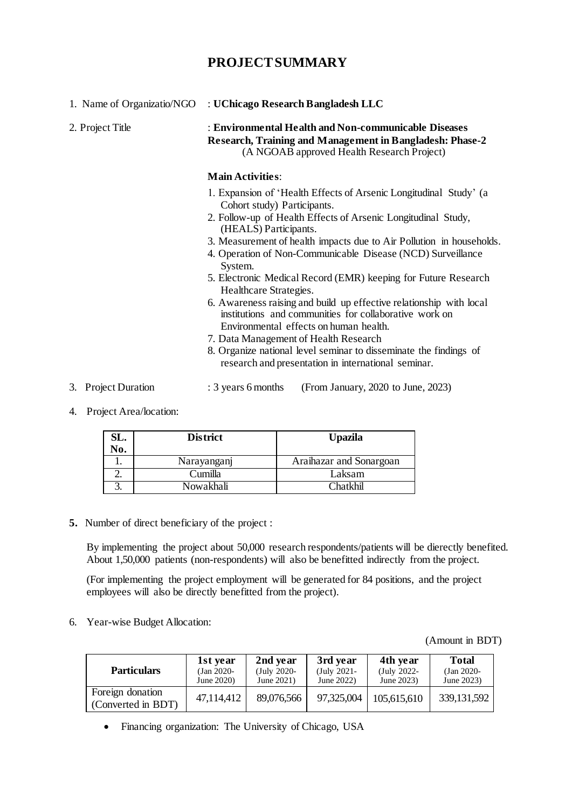## **PROJECT SUMMARY**

| 1. Name of Organizatio/NGO | : UChicago Research Bangladesh LLC                                                                                                                                                                                                                                                                                                                                                                                                                                                                                                                                                                                                                                                                                                                                                       |  |  |  |  |
|----------------------------|------------------------------------------------------------------------------------------------------------------------------------------------------------------------------------------------------------------------------------------------------------------------------------------------------------------------------------------------------------------------------------------------------------------------------------------------------------------------------------------------------------------------------------------------------------------------------------------------------------------------------------------------------------------------------------------------------------------------------------------------------------------------------------------|--|--|--|--|
| 2. Project Title           | : Environmental Health and Non-communicable Diseases<br>Research, Training and Management in Bangladesh: Phase-2<br>(A NGOAB approved Health Research Project)                                                                                                                                                                                                                                                                                                                                                                                                                                                                                                                                                                                                                           |  |  |  |  |
|                            | <b>Main Activities:</b>                                                                                                                                                                                                                                                                                                                                                                                                                                                                                                                                                                                                                                                                                                                                                                  |  |  |  |  |
|                            | 1. Expansion of 'Health Effects of Arsenic Longitudinal Study' (a<br>Cohort study) Participants.<br>2. Follow-up of Health Effects of Arsenic Longitudinal Study,<br>(HEALS) Participants.<br>3. Measurement of health impacts due to Air Pollution in households.<br>4. Operation of Non-Communicable Disease (NCD) Surveillance<br>System.<br>5. Electronic Medical Record (EMR) keeping for Future Research<br>Healthcare Strategies.<br>6. Awareness raising and build up effective relationship with local<br>institutions and communities for collaborative work on<br>Environmental effects on human health.<br>7. Data Management of Health Research<br>8. Organize national level seminar to disseminate the findings of<br>research and presentation in international seminar. |  |  |  |  |
| 3. Project Duration        | : 3 years 6 months<br>(From January, 2020 to June, 2023)                                                                                                                                                                                                                                                                                                                                                                                                                                                                                                                                                                                                                                                                                                                                 |  |  |  |  |

4. Project Area/location:

| SL. | <b>District</b> | <b>Upazila</b>          |  |  |
|-----|-----------------|-------------------------|--|--|
| No. |                 |                         |  |  |
|     | Narayanganj     | Araihazar and Sonargoan |  |  |
|     | Cumilla         | Laksam                  |  |  |
|     | Nowakhali       | <sup>~</sup> hatkhil    |  |  |

**5.** Number of direct beneficiary of the project :

By implementing the project about 50,000 research respondents/patients will be dierectly benefited. About 1,50,000 patients (non-respondents) will also be benefitted indirectly from the project.

(For implementing the project employment will be generated for 84 positions, and the project employees will also be directly benefitted from the project).

6. Year-wise Budget Allocation:

## (Amount in BDT)

| <b>Particulars</b>                     | 1st year      | 2nd year      | 3rd year       | 4th year    | <b>Total</b>  |
|----------------------------------------|---------------|---------------|----------------|-------------|---------------|
|                                        | $(Jan 2020 -$ | $(July 2020-$ | $(July 2021 -$ | (July 2022- | $(Jan 2020 -$ |
|                                        | June 2020)    | June 2021)    | June $2022$ )  | June 2023)  | June 2023)    |
| Foreign donation<br>(Converted in BDT) | 47,114,412    | 89,076,566    | 97,325,004     | 105,615,610 | 339, 131, 592 |

Financing organization: The University of Chicago, USA